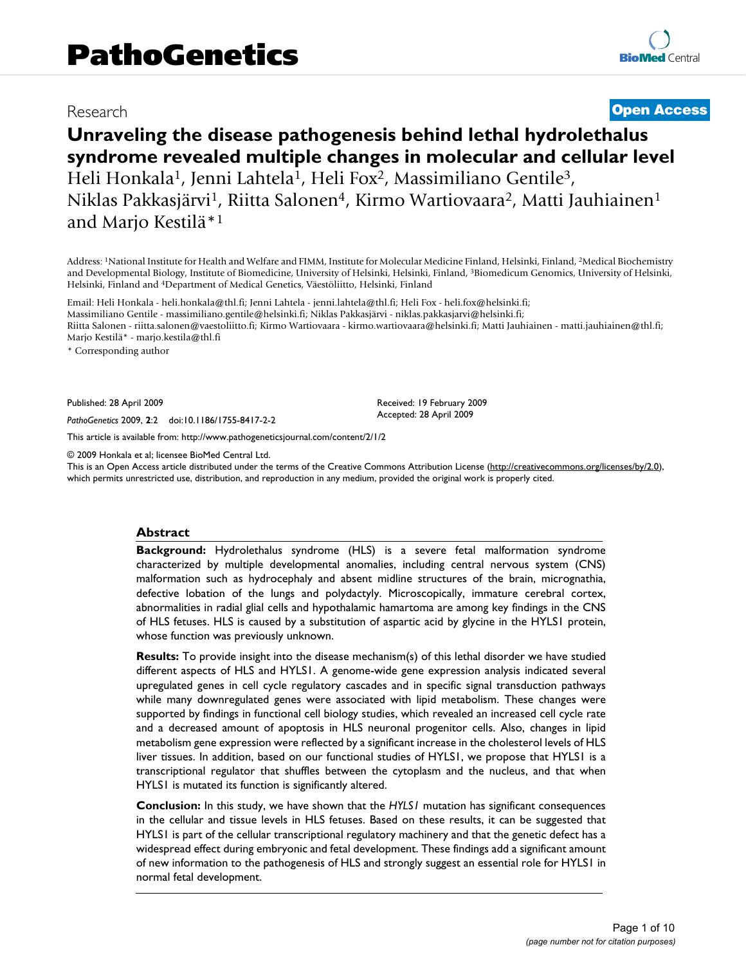# Research **[Open Access](http://www.biomedcentral.com/info/about/charter/)**

# **Unraveling the disease pathogenesis behind lethal hydrolethalus syndrome revealed multiple changes in molecular and cellular level** Heli Honkala<sup>1</sup>, Jenni Lahtela<sup>1</sup>, Heli Fox<sup>2</sup>, Massimiliano Gentile<sup>3</sup>, Niklas Pakkasjärvi<sup>1</sup>, Riitta Salonen<sup>4</sup>, Kirmo Wartiovaara<sup>2</sup>, Matti Jauhiainen<sup>1</sup> and Marjo Kestilä\*1

Address: 1National Institute for Health and Welfare and FIMM, Institute for Molecular Medicine Finland, Helsinki, Finland, 2Medical Biochemistry and Developmental Biology, Institute of Biomedicine, University of Helsinki, Helsinki, Finland, 3Biomedicum Genomics, University of Helsinki, Helsinki, Finland and 4Department of Medical Genetics, Väestöliitto, Helsinki, Finland

Email: Heli Honkala - heli.honkala@thl.fi; Jenni Lahtela - jenni.lahtela@thl.fi; Heli Fox - heli.fox@helsinki.fi; Massimiliano Gentile - massimiliano.gentile@helsinki.fi; Niklas Pakkasjärvi - niklas.pakkasjarvi@helsinki.fi; Riitta Salonen - riitta.salonen@vaestoliitto.fi; Kirmo Wartiovaara - kirmo.wartiovaara@helsinki.fi; Matti Jauhiainen - matti.jauhiainen@thl.fi; Marjo Kestilä\* - marjo.kestila@thl.fi

\* Corresponding author

Published: 28 April 2009

*PathoGenetics* 2009, **2**:2 doi:10.1186/1755-8417-2-2

[This article is available from: http://www.pathogeneticsjournal.com/content/2/1/2](http://www.pathogeneticsjournal.com/content/2/1/2)

© 2009 Honkala et al; licensee BioMed Central Ltd.

This is an Open Access article distributed under the terms of the Creative Commons Attribution License [\(http://creativecommons.org/licenses/by/2.0\)](http://creativecommons.org/licenses/by/2.0), which permits unrestricted use, distribution, and reproduction in any medium, provided the original work is properly cited.

Received: 19 February 2009 Accepted: 28 April 2009

#### **Abstract**

**Background:** Hydrolethalus syndrome (HLS) is a severe fetal malformation syndrome characterized by multiple developmental anomalies, including central nervous system (CNS) malformation such as hydrocephaly and absent midline structures of the brain, micrognathia, defective lobation of the lungs and polydactyly. Microscopically, immature cerebral cortex, abnormalities in radial glial cells and hypothalamic hamartoma are among key findings in the CNS of HLS fetuses. HLS is caused by a substitution of aspartic acid by glycine in the HYLS1 protein, whose function was previously unknown.

**Results:** To provide insight into the disease mechanism(s) of this lethal disorder we have studied different aspects of HLS and HYLS1. A genome-wide gene expression analysis indicated several upregulated genes in cell cycle regulatory cascades and in specific signal transduction pathways while many downregulated genes were associated with lipid metabolism. These changes were supported by findings in functional cell biology studies, which revealed an increased cell cycle rate and a decreased amount of apoptosis in HLS neuronal progenitor cells. Also, changes in lipid metabolism gene expression were reflected by a significant increase in the cholesterol levels of HLS liver tissues. In addition, based on our functional studies of HYLS1, we propose that HYLS1 is a transcriptional regulator that shuffles between the cytoplasm and the nucleus, and that when HYLS1 is mutated its function is significantly altered.

**Conclusion:** In this study, we have shown that the *HYLS1* mutation has significant consequences in the cellular and tissue levels in HLS fetuses. Based on these results, it can be suggested that HYLS1 is part of the cellular transcriptional regulatory machinery and that the genetic defect has a widespread effect during embryonic and fetal development. These findings add a significant amount of new information to the pathogenesis of HLS and strongly suggest an essential role for HYLS1 in normal fetal development.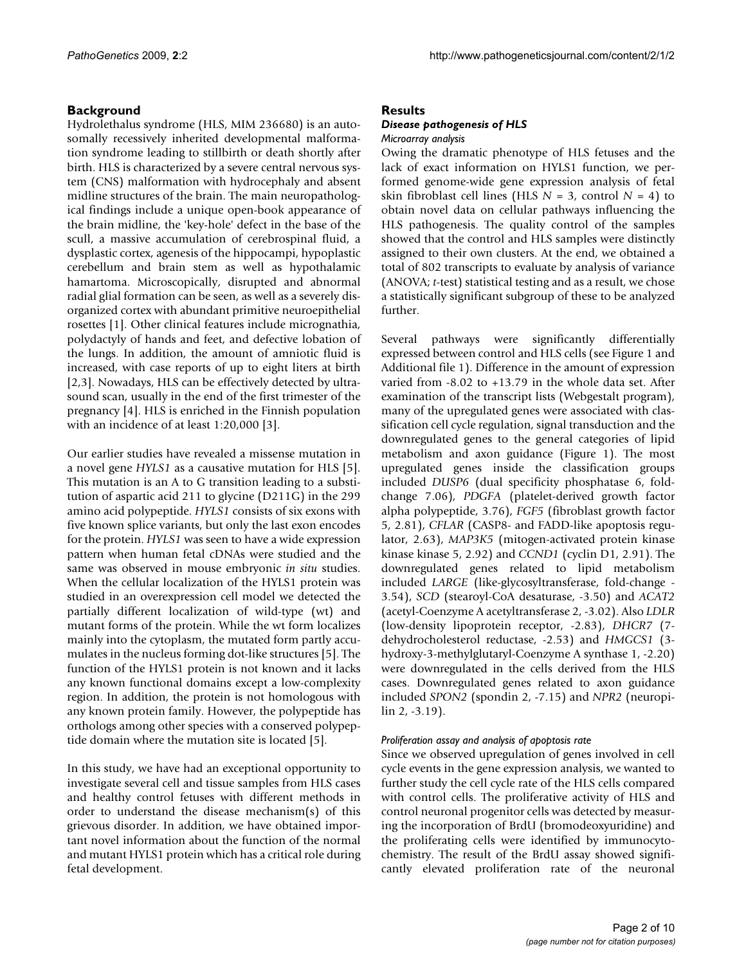# **Background**

Hydrolethalus syndrome (HLS, MIM 236680) is an autosomally recessively inherited developmental malformation syndrome leading to stillbirth or death shortly after birth. HLS is characterized by a severe central nervous system (CNS) malformation with hydrocephaly and absent midline structures of the brain. The main neuropathological findings include a unique open-book appearance of the brain midline, the 'key-hole' defect in the base of the scull, a massive accumulation of cerebrospinal fluid, a dysplastic cortex, agenesis of the hippocampi, hypoplastic cerebellum and brain stem as well as hypothalamic hamartoma. Microscopically, disrupted and abnormal radial glial formation can be seen, as well as a severely disorganized cortex with abundant primitive neuroepithelial rosettes [\[1](#page-8-0)]. Other clinical features include micrognathia, polydactyly of hands and feet, and defective lobation of the lungs. In addition, the amount of amniotic fluid is increased, with case reports of up to eight liters at birth [[2](#page-8-1)[,3\]](#page-8-2). Nowadays, HLS can be effectively detected by ultrasound scan, usually in the end of the first trimester of the pregnancy [\[4\]](#page-8-3). HLS is enriched in the Finnish population with an incidence of at least 1:20,000 [[3](#page-8-2)].

Our earlier studies have revealed a missense mutation in a novel gene *HYLS1* as a causative mutation for HLS [[5](#page-8-4)]. This mutation is an A to G transition leading to a substitution of aspartic acid 211 to glycine (D211G) in the 299 amino acid polypeptide. *HYLS1* consists of six exons with five known splice variants, but only the last exon encodes for the protein. *HYLS1* was seen to have a wide expression pattern when human fetal cDNAs were studied and the same was observed in mouse embryonic *in situ* studies. When the cellular localization of the HYLS1 protein was studied in an overexpression cell model we detected the partially different localization of wild-type (wt) and mutant forms of the protein. While the wt form localizes mainly into the cytoplasm, the mutated form partly accumulates in the nucleus forming dot-like structures [\[5\]](#page-8-4). The function of the HYLS1 protein is not known and it lacks any known functional domains except a low-complexity region. In addition, the protein is not homologous with any known protein family. However, the polypeptide has orthologs among other species with a conserved polypeptide domain where the mutation site is located [\[5\]](#page-8-4).

In this study, we have had an exceptional opportunity to investigate several cell and tissue samples from HLS cases and healthy control fetuses with different methods in order to understand the disease mechanism(s) of this grievous disorder. In addition, we have obtained important novel information about the function of the normal and mutant HYLS1 protein which has a critical role during fetal development.

# **Results**

#### *Disease pathogenesis of HLS*

#### *Microarray analysis*

Owing the dramatic phenotype of HLS fetuses and the lack of exact information on HYLS1 function, we performed genome-wide gene expression analysis of fetal skin fibroblast cell lines (HLS  $N = 3$ , control  $N = 4$ ) to obtain novel data on cellular pathways influencing the HLS pathogenesis. The quality control of the samples showed that the control and HLS samples were distinctly assigned to their own clusters. At the end, we obtained a total of 802 transcripts to evaluate by analysis of variance (ANOVA; *t*-test) statistical testing and as a result, we chose a statistically significant subgroup of these to be analyzed further.

Several pathways were significantly differentially expressed between control and HLS cells (see Figure [1](#page-2-0) and Additional file [1\)](#page-8-5). Difference in the amount of expression varied from -8.02 to +13.79 in the whole data set. After examination of the transcript lists (Webgestalt program), many of the upregulated genes were associated with classification cell cycle regulation, signal transduction and the downregulated genes to the general categories of lipid metabolism and axon guidance (Figure [1](#page-2-0)). The most upregulated genes inside the classification groups included *DUSP6* (dual specificity phosphatase 6, foldchange 7.06), *PDGFA* (platelet-derived growth factor alpha polypeptide, 3.76), *FGF5* (fibroblast growth factor 5, 2.81), *CFLAR* (CASP8- and FADD-like apoptosis regulator, 2.63), *MAP3K5* (mitogen-activated protein kinase kinase kinase 5, 2.92) and *CCND1* (cyclin D1, 2.91). The downregulated genes related to lipid metabolism included *LARGE* (like-glycosyltransferase, fold-change - 3.54), *SCD* (stearoyl-CoA desaturase, -3.50) and *ACAT2* (acetyl-Coenzyme A acetyltransferase 2, -3.02). Also *LDLR* (low-density lipoprotein receptor, -2.83), *DHCR7* (7 dehydrocholesterol reductase, -2.53) and *HMGCS1* (3 hydroxy-3-methylglutaryl-Coenzyme A synthase 1, -2.20) were downregulated in the cells derived from the HLS cases. Downregulated genes related to axon guidance included *SPON2* (spondin 2, -7.15) and *NPR2* (neuropilin 2, -3.19).

#### *Proliferation assay and analysis of apoptosis rate*

Since we observed upregulation of genes involved in cell cycle events in the gene expression analysis, we wanted to further study the cell cycle rate of the HLS cells compared with control cells. The proliferative activity of HLS and control neuronal progenitor cells was detected by measuring the incorporation of BrdU (bromodeoxyuridine) and the proliferating cells were identified by immunocytochemistry. The result of the BrdU assay showed significantly elevated proliferation rate of the neuronal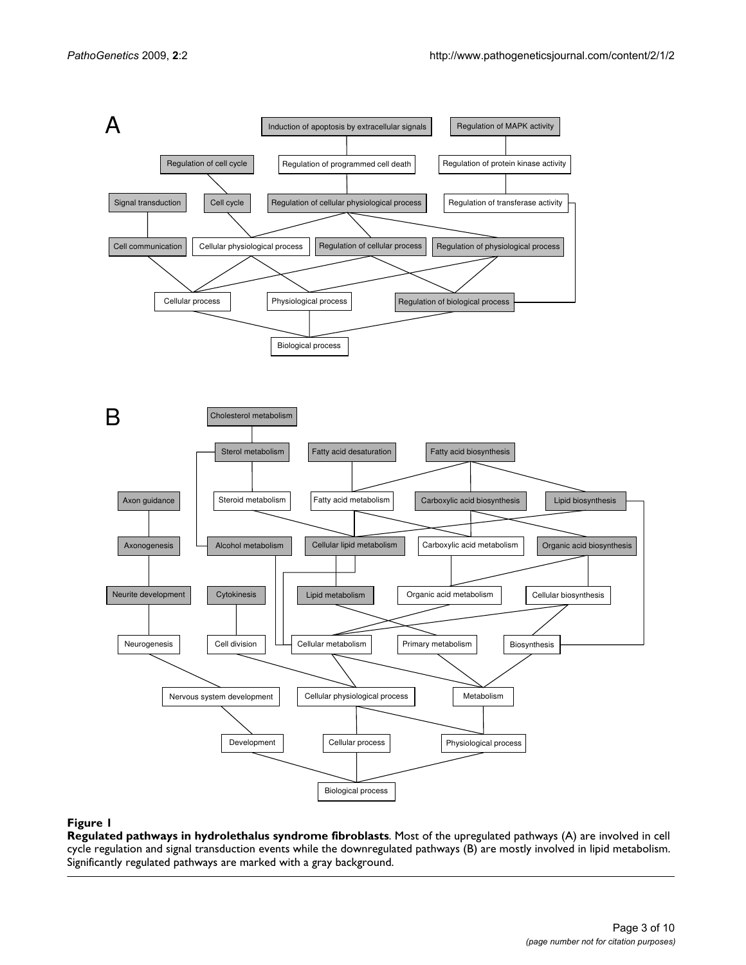<span id="page-2-0"></span>

#### **Figure 1**

**Regulated pathways in hydrolethalus syndrome fibroblasts**. Most of the upregulated pathways (A) are involved in cell cycle regulation and signal transduction events while the downregulated pathways (B) are mostly involved in lipid metabolism. Significantly regulated pathways are marked with a gray background.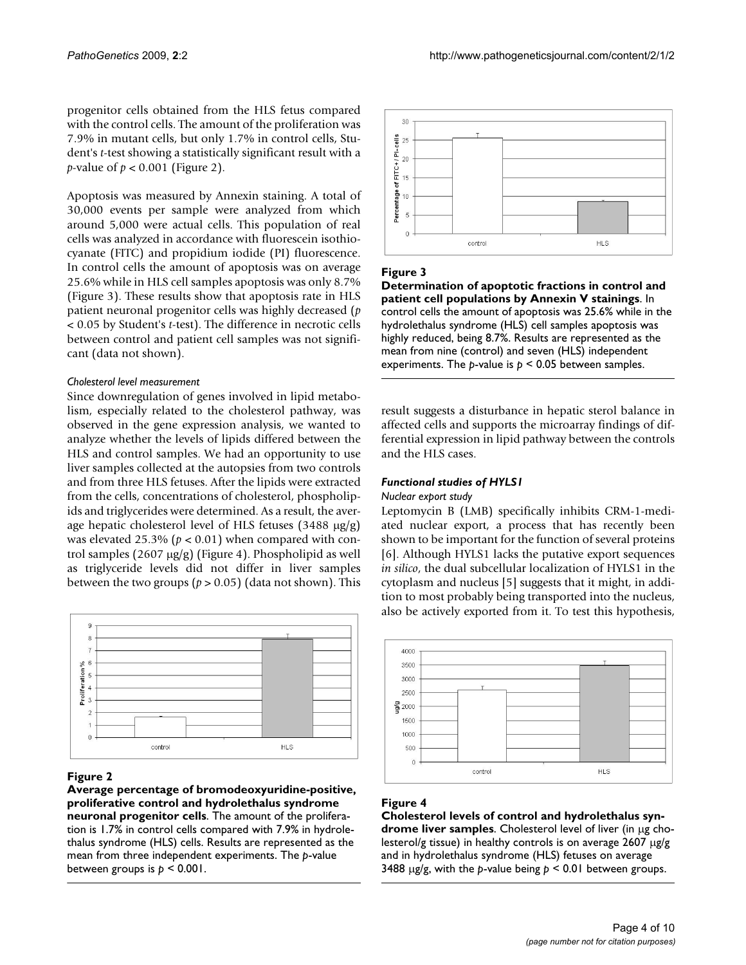progenitor cells obtained from the HLS fetus compared with the control cells. The amount of the proliferation was 7.9% in mutant cells, but only 1.7% in control cells, Student's *t*-test showing a statistically significant result with a *p*-value of *p* < 0.001 (Figure [2](#page-3-0)).

Apoptosis was measured by Annexin staining. A total of 30,000 events per sample were analyzed from which around 5,000 were actual cells. This population of real cells was analyzed in accordance with fluorescein isothiocyanate (FITC) and propidium iodide (PI) fluorescence. In control cells the amount of apoptosis was on average 25.6% while in HLS cell samples apoptosis was only 8.7% (Figure [3](#page-3-1)). These results show that apoptosis rate in HLS patient neuronal progenitor cells was highly decreased (*p* < 0.05 by Student's *t*-test). The difference in necrotic cells between control and patient cell samples was not significant (data not shown).

### *Cholesterol level measurement*

Since downregulation of genes involved in lipid metabolism, especially related to the cholesterol pathway, was observed in the gene expression analysis, we wanted to analyze whether the levels of lipids differed between the HLS and control samples. We had an opportunity to use liver samples collected at the autopsies from two controls and from three HLS fetuses. After the lipids were extracted from the cells, concentrations of cholesterol, phospholipids and triglycerides were determined. As a result, the average hepatic cholesterol level of HLS fetuses (3488 μg/g) was elevated  $25.3\%$  ( $p < 0.01$ ) when compared with control samples (2607 μg/g) (Figure [4](#page-3-2)). Phospholipid as well as triglyceride levels did not differ in liver samples between the two groups (*p* > 0.05) (data not shown). This

<span id="page-3-0"></span>

### Figure 2

**Average percentage of bromodeoxyuridine-positive, proliferative control and hydrolethalus syndrome neuronal progenitor cells**. The amount of the proliferation is 1.7% in control cells compared with 7.9% in hydrolethalus syndrome (HLS) cells. Results are represented as the mean from three independent experiments. The *p*-value between groups is  $p < 0.001$ .

<span id="page-3-1"></span>

# **Figure 3**

**Determination of apoptotic fractions in control and patient cell populations by Annexin V stainings**. In control cells the amount of apoptosis was 25.6% while in the hydrolethalus syndrome (HLS) cell samples apoptosis was highly reduced, being 8.7%. Results are represented as the mean from nine (control) and seven (HLS) independent experiments. The *p*-value is *p* < 0.05 between samples.

result suggests a disturbance in hepatic sterol balance in affected cells and supports the microarray findings of differential expression in lipid pathway between the controls and the HLS cases.

# *Functional studies of HYLS1*

#### *Nuclear export study*

Leptomycin B (LMB) specifically inhibits CRM-1-mediated nuclear export, a process that has recently been shown to be important for the function of several proteins [[6\]](#page-8-6). Although HYLS1 lacks the putative export sequences *in silico*, the dual subcellular localization of HYLS1 in the cytoplasm and nucleus [\[5\]](#page-8-4) suggests that it might, in addition to most probably being transported into the nucleus, also be actively exported from it. To test this hypothesis,

<span id="page-3-2"></span>

# Figure 4

**Cholesterol levels of control and hydrolethalus syndrome liver samples**. Cholesterol level of liver (in μg cholesterol/g tissue) in healthy controls is on average 2607 μg/g and in hydrolethalus syndrome (HLS) fetuses on average 3488 μg/g, with the *p*-value being *p* < 0.01 between groups.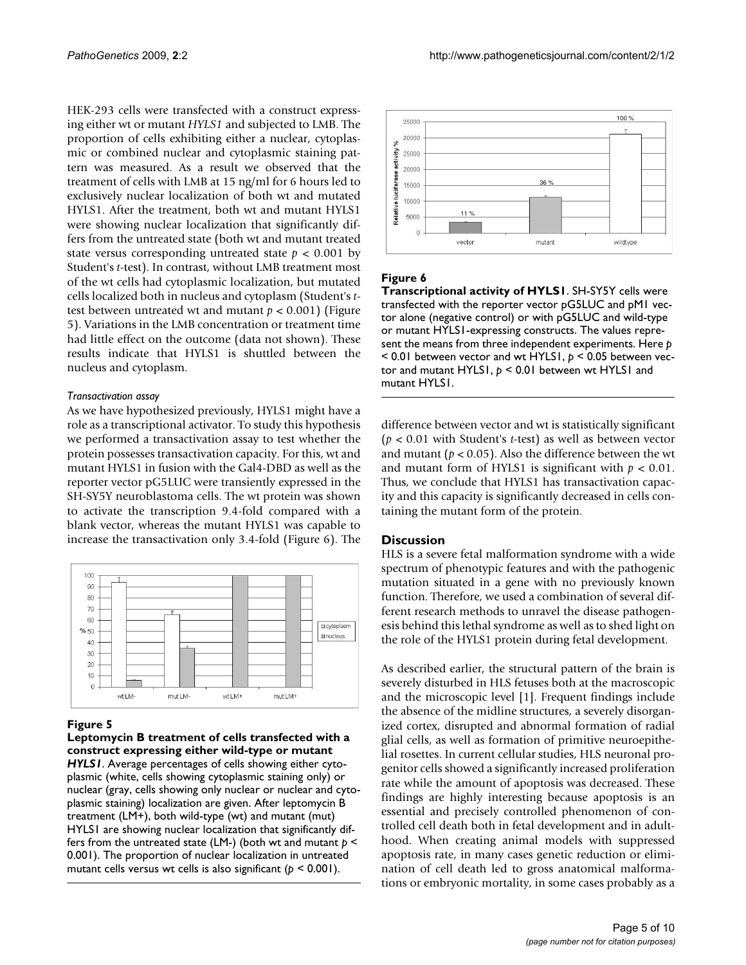HEK-293 cells were transfected with a construct expressing either wt or mutant *HYLS1* and subjected to LMB. The proportion of cells exhibiting either a nuclear, cytoplasmic or combined nuclear and cytoplasmic staining pattern was measured. As a result we observed that the treatment of cells with LMB at 15 ng/ml for 6 hours led to exclusively nuclear localization of both wt and mutated HYLS1. After the treatment, both wt and mutant HYLS1 were showing nuclear localization that significantly differs from the untreated state (both wt and mutant treated state versus corresponding untreated state *p* < 0.001 by Student's *t*-test). In contrast, without LMB treatment most of the wt cells had cytoplasmic localization, but mutated cells localized both in nucleus and cytoplasm (Student's *t*test between untreated wt and mutant *p* < 0.001) (Figure [5\)](#page-4-0). Variations in the LMB concentration or treatment time had little effect on the outcome (data not shown). These results indicate that HYLS1 is shuttled between the nucleus and cytoplasm.

#### *Transactivation assay*

As we have hypothesized previously, HYLS1 might have a role as a transcriptional activator. To study this hypothesis we performed a transactivation assay to test whether the protein possesses transactivation capacity. For this, wt and mutant HYLS1 in fusion with the Gal4-DBD as well as the reporter vector pG5LUC were transiently expressed in the SH-SY5Y neuroblastoma cells. The wt protein was shown to activate the transcription 9.4-fold compared with a blank vector, whereas the mutant HYLS1 was capable to increase the transactivation only 3.4-fold (Figure [6\)](#page-4-1). The

<span id="page-4-0"></span>

# Figure 5

**Leptomycin B treatment of cells transfected with a construct expressing either wild-type or mutant**  *HYLS1*. Average percentages of cells showing either cytoplasmic (white, cells showing cytoplasmic staining only) or nuclear (gray, cells showing only nuclear or nuclear and cytoplasmic staining) localization are given. After leptomycin B treatment (LM+), both wild-type (wt) and mutant (mut) HYLS1 are showing nuclear localization that significantly differs from the untreated state (LM-) (both wt and mutant *p* < 0.001). The proportion of nuclear localization in untreated mutant cells versus wt cells is also significant (*p* < 0.001).

<span id="page-4-1"></span>

# **Figure 6**

**Transcriptional activity of HYLS1**. SH-SY5Y cells were transfected with the reporter vector pG5LUC and pM1 vector alone (negative control) or with pG5LUC and wild-type or mutant HYLS1-expressing constructs. The values represent the means from three independent experiments. Here *p*  < 0.01 between vector and wt HYLS1, *p* < 0.05 between vector and mutant HYLS1,  $p < 0.01$  between wt HYLS1 and mutant HYLS1.

difference between vector and wt is statistically significant (*p* < 0.01 with Student's *t*-test) as well as between vector and mutant  $(p < 0.05)$ . Also the difference between the wt and mutant form of HYLS1 is significant with  $p < 0.01$ . Thus, we conclude that HYLS1 has transactivation capacity and this capacity is significantly decreased in cells containing the mutant form of the protein.

### **Discussion**

HLS is a severe fetal malformation syndrome with a wide spectrum of phenotypic features and with the pathogenic mutation situated in a gene with no previously known function. Therefore, we used a combination of several different research methods to unravel the disease pathogenesis behind this lethal syndrome as well as to shed light on the role of the HYLS1 protein during fetal development.

As described earlier, the structural pattern of the brain is severely disturbed in HLS fetuses both at the macroscopic and the microscopic level [[1\]](#page-8-0). Frequent findings include the absence of the midline structures, a severely disorganized cortex, disrupted and abnormal formation of radial glial cells, as well as formation of primitive neuroepithelial rosettes. In current cellular studies, HLS neuronal progenitor cells showed a significantly increased proliferation rate while the amount of apoptosis was decreased. These findings are highly interesting because apoptosis is an essential and precisely controlled phenomenon of controlled cell death both in fetal development and in adulthood. When creating animal models with suppressed apoptosis rate, in many cases genetic reduction or elimination of cell death led to gross anatomical malformations or embryonic mortality, in some cases probably as a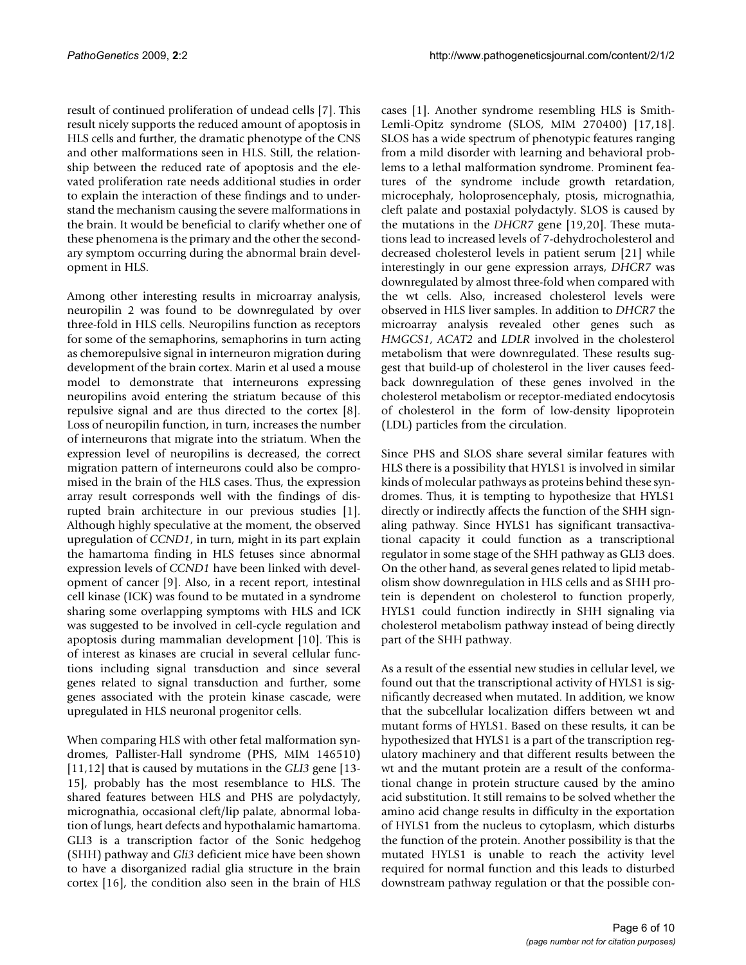result of continued proliferation of undead cells [\[7\]](#page-8-7). This result nicely supports the reduced amount of apoptosis in HLS cells and further, the dramatic phenotype of the CNS and other malformations seen in HLS. Still, the relationship between the reduced rate of apoptosis and the elevated proliferation rate needs additional studies in order to explain the interaction of these findings and to understand the mechanism causing the severe malformations in the brain. It would be beneficial to clarify whether one of these phenomena is the primary and the other the secondary symptom occurring during the abnormal brain development in HLS.

Among other interesting results in microarray analysis, neuropilin 2 was found to be downregulated by over three-fold in HLS cells. Neuropilins function as receptors for some of the semaphorins, semaphorins in turn acting as chemorepulsive signal in interneuron migration during development of the brain cortex. Marin et al used a mouse model to demonstrate that interneurons expressing neuropilins avoid entering the striatum because of this repulsive signal and are thus directed to the cortex [[8](#page-8-8)]. Loss of neuropilin function, in turn, increases the number of interneurons that migrate into the striatum. When the expression level of neuropilins is decreased, the correct migration pattern of interneurons could also be compromised in the brain of the HLS cases. Thus, the expression array result corresponds well with the findings of disrupted brain architecture in our previous studies [[1](#page-8-0)]. Although highly speculative at the moment, the observed upregulation of *CCND1*, in turn, might in its part explain the hamartoma finding in HLS fetuses since abnormal expression levels of *CCND1* have been linked with development of cancer [\[9\]](#page-8-9). Also, in a recent report, intestinal cell kinase (ICK) was found to be mutated in a syndrome sharing some overlapping symptoms with HLS and ICK was suggested to be involved in cell-cycle regulation and apoptosis during mammalian development [[10\]](#page-8-10). This is of interest as kinases are crucial in several cellular functions including signal transduction and since several genes related to signal transduction and further, some genes associated with the protein kinase cascade, were upregulated in HLS neuronal progenitor cells.

When comparing HLS with other fetal malformation syndromes, Pallister-Hall syndrome (PHS, MIM 146510) [[11](#page-8-11),[12\]](#page-8-12) that is caused by mutations in the *GLI3* gene [\[13](#page-8-13)- [15\]](#page-8-14), probably has the most resemblance to HLS. The shared features between HLS and PHS are polydactyly, micrognathia, occasional cleft/lip palate, abnormal lobation of lungs, heart defects and hypothalamic hamartoma. GLI3 is a transcription factor of the Sonic hedgehog (SHH) pathway and *Gli3* deficient mice have been shown to have a disorganized radial glia structure in the brain cortex [\[16](#page-8-15)], the condition also seen in the brain of HLS

cases [[1](#page-8-0)]. Another syndrome resembling HLS is Smith-Lemli-Opitz syndrome (SLOS, MIM 270400) [[17,](#page-8-16)[18](#page-8-17)]. SLOS has a wide spectrum of phenotypic features ranging from a mild disorder with learning and behavioral problems to a lethal malformation syndrome. Prominent features of the syndrome include growth retardation, microcephaly, holoprosencephaly, ptosis, micrognathia, cleft palate and postaxial polydactyly. SLOS is caused by the mutations in the *DHCR7* gene [\[19](#page-8-18)[,20](#page-8-19)]. These mutations lead to increased levels of 7-dehydrocholesterol and decreased cholesterol levels in patient serum [[21\]](#page-8-20) while interestingly in our gene expression arrays, *DHCR7* was downregulated by almost three-fold when compared with the wt cells. Also, increased cholesterol levels were observed in HLS liver samples. In addition to *DHCR7* the microarray analysis revealed other genes such as *HMGCS1*, *ACAT2* and *LDLR* involved in the cholesterol metabolism that were downregulated. These results suggest that build-up of cholesterol in the liver causes feedback downregulation of these genes involved in the cholesterol metabolism or receptor-mediated endocytosis of cholesterol in the form of low-density lipoprotein (LDL) particles from the circulation.

Since PHS and SLOS share several similar features with HLS there is a possibility that HYLS1 is involved in similar kinds of molecular pathways as proteins behind these syndromes. Thus, it is tempting to hypothesize that HYLS1 directly or indirectly affects the function of the SHH signaling pathway. Since HYLS1 has significant transactivational capacity it could function as a transcriptional regulator in some stage of the SHH pathway as GLI3 does. On the other hand, as several genes related to lipid metabolism show downregulation in HLS cells and as SHH protein is dependent on cholesterol to function properly, HYLS1 could function indirectly in SHH signaling via cholesterol metabolism pathway instead of being directly part of the SHH pathway.

As a result of the essential new studies in cellular level, we found out that the transcriptional activity of HYLS1 is significantly decreased when mutated. In addition, we know that the subcellular localization differs between wt and mutant forms of HYLS1. Based on these results, it can be hypothesized that HYLS1 is a part of the transcription regulatory machinery and that different results between the wt and the mutant protein are a result of the conformational change in protein structure caused by the amino acid substitution. It still remains to be solved whether the amino acid change results in difficulty in the exportation of HYLS1 from the nucleus to cytoplasm, which disturbs the function of the protein. Another possibility is that the mutated HYLS1 is unable to reach the activity level required for normal function and this leads to disturbed downstream pathway regulation or that the possible con-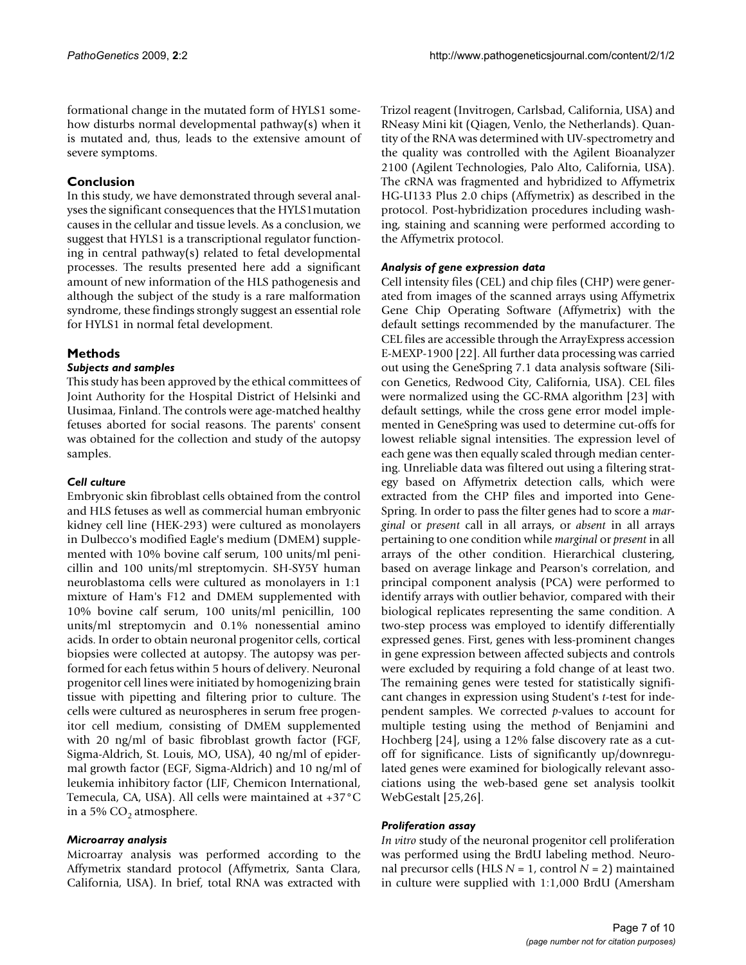formational change in the mutated form of HYLS1 somehow disturbs normal developmental pathway(s) when it is mutated and, thus, leads to the extensive amount of severe symptoms.

# **Conclusion**

In this study, we have demonstrated through several analyses the significant consequences that the HYLS1mutation causes in the cellular and tissue levels. As a conclusion, we suggest that HYLS1 is a transcriptional regulator functioning in central pathway(s) related to fetal developmental processes. The results presented here add a significant amount of new information of the HLS pathogenesis and although the subject of the study is a rare malformation syndrome, these findings strongly suggest an essential role for HYLS1 in normal fetal development.

# **Methods**

#### *Subjects and samples*

This study has been approved by the ethical committees of Joint Authority for the Hospital District of Helsinki and Uusimaa, Finland. The controls were age-matched healthy fetuses aborted for social reasons. The parents' consent was obtained for the collection and study of the autopsy samples.

### *Cell culture*

Embryonic skin fibroblast cells obtained from the control and HLS fetuses as well as commercial human embryonic kidney cell line (HEK-293) were cultured as monolayers in Dulbecco's modified Eagle's medium (DMEM) supplemented with 10% bovine calf serum, 100 units/ml penicillin and 100 units/ml streptomycin. SH-SY5Y human neuroblastoma cells were cultured as monolayers in 1:1 mixture of Ham's F12 and DMEM supplemented with 10% bovine calf serum, 100 units/ml penicillin, 100 units/ml streptomycin and 0.1% nonessential amino acids. In order to obtain neuronal progenitor cells, cortical biopsies were collected at autopsy. The autopsy was performed for each fetus within 5 hours of delivery. Neuronal progenitor cell lines were initiated by homogenizing brain tissue with pipetting and filtering prior to culture. The cells were cultured as neurospheres in serum free progenitor cell medium, consisting of DMEM supplemented with 20 ng/ml of basic fibroblast growth factor (FGF, Sigma-Aldrich, St. Louis, MO, USA), 40 ng/ml of epidermal growth factor (EGF, Sigma-Aldrich) and 10 ng/ml of leukemia inhibitory factor (LIF, Chemicon International, Temecula, CA, USA). All cells were maintained at +37°C in a 5%  $CO<sub>2</sub>$  atmosphere.

### *Microarray analysis*

Microarray analysis was performed according to the Affymetrix standard protocol (Affymetrix, Santa Clara, California, USA). In brief, total RNA was extracted with

Trizol reagent (Invitrogen, Carlsbad, California, USA) and RNeasy Mini kit (Qiagen, Venlo, the Netherlands). Quantity of the RNA was determined with UV-spectrometry and the quality was controlled with the Agilent Bioanalyzer 2100 (Agilent Technologies, Palo Alto, California, USA). The cRNA was fragmented and hybridized to Affymetrix HG-U133 Plus 2.0 chips (Affymetrix) as described in the protocol. Post-hybridization procedures including washing, staining and scanning were performed according to the Affymetrix protocol.

#### *Analysis of gene expression data*

Cell intensity files (CEL) and chip files (CHP) were generated from images of the scanned arrays using Affymetrix Gene Chip Operating Software (Affymetrix) with the default settings recommended by the manufacturer. The CEL files are accessible through the ArrayExpress accession E-MEXP-1900 [\[22](#page-8-21)]. All further data processing was carried out using the GeneSpring 7.1 data analysis software (Silicon Genetics, Redwood City, California, USA). CEL files were normalized using the GC-RMA algorithm [[23\]](#page-8-22) with default settings, while the cross gene error model implemented in GeneSpring was used to determine cut-offs for lowest reliable signal intensities. The expression level of each gene was then equally scaled through median centering. Unreliable data was filtered out using a filtering strategy based on Affymetrix detection calls, which were extracted from the CHP files and imported into Gene-Spring. In order to pass the filter genes had to score a *marginal* or *present* call in all arrays, or *absent* in all arrays pertaining to one condition while *marginal* or *present* in all arrays of the other condition. Hierarchical clustering, based on average linkage and Pearson's correlation, and principal component analysis (PCA) were performed to identify arrays with outlier behavior, compared with their biological replicates representing the same condition. A two-step process was employed to identify differentially expressed genes. First, genes with less-prominent changes in gene expression between affected subjects and controls were excluded by requiring a fold change of at least two. The remaining genes were tested for statistically significant changes in expression using Student's *t*-test for independent samples. We corrected *p*-values to account for multiple testing using the method of Benjamini and Hochberg [[24\]](#page-9-0), using a 12% false discovery rate as a cutoff for significance. Lists of significantly up/downregulated genes were examined for biologically relevant associations using the web-based gene set analysis toolkit WebGestalt [\[25](#page-9-1),[26](#page-9-2)].

#### *Proliferation assay*

*In vitro* study of the neuronal progenitor cell proliferation was performed using the BrdU labeling method. Neuronal precursor cells (HLS *N* = 1, control *N* = 2) maintained in culture were supplied with 1:1,000 BrdU (Amersham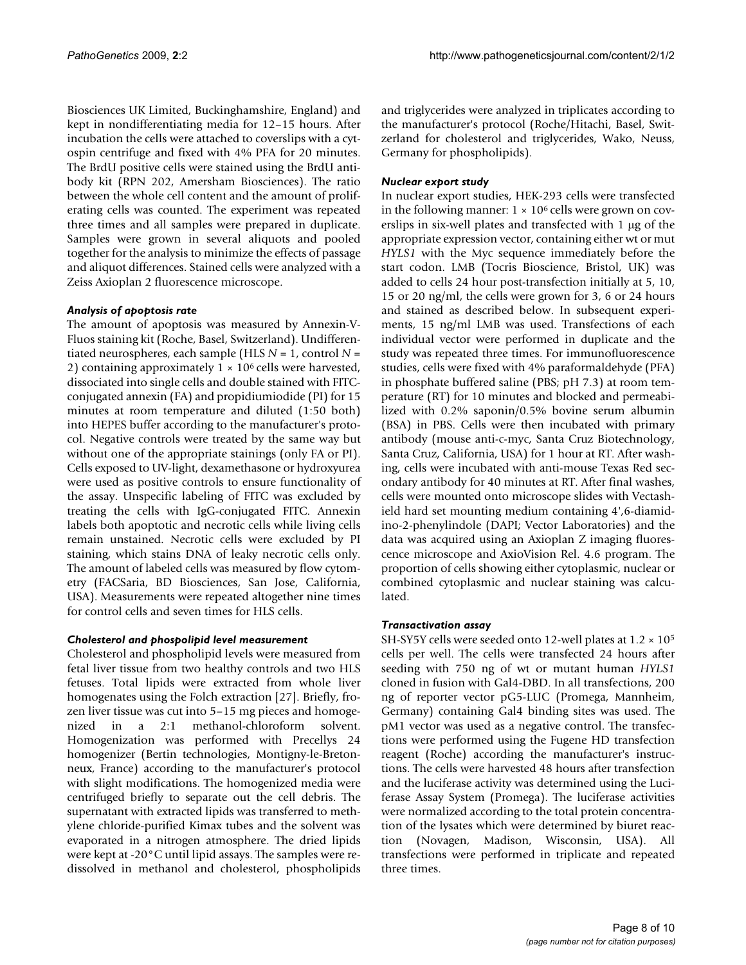Biosciences UK Limited, Buckinghamshire, England) and kept in nondifferentiating media for 12–15 hours. After incubation the cells were attached to coverslips with a cytospin centrifuge and fixed with 4% PFA for 20 minutes. The BrdU positive cells were stained using the BrdU antibody kit (RPN 202, Amersham Biosciences). The ratio between the whole cell content and the amount of proliferating cells was counted. The experiment was repeated three times and all samples were prepared in duplicate. Samples were grown in several aliquots and pooled together for the analysis to minimize the effects of passage and aliquot differences. Stained cells were analyzed with a Zeiss Axioplan 2 fluorescence microscope.

# *Analysis of apoptosis rate*

The amount of apoptosis was measured by Annexin-V-Fluos staining kit (Roche, Basel, Switzerland). Undifferentiated neurospheres, each sample (HLS *N* = 1, control *N* = 2) containing approximately  $1 \times 10^6$  cells were harvested, dissociated into single cells and double stained with FITCconjugated annexin (FA) and propidiumiodide (PI) for 15 minutes at room temperature and diluted (1:50 both) into HEPES buffer according to the manufacturer's protocol. Negative controls were treated by the same way but without one of the appropriate stainings (only FA or PI). Cells exposed to UV-light, dexamethasone or hydroxyurea were used as positive controls to ensure functionality of the assay. Unspecific labeling of FITC was excluded by treating the cells with IgG-conjugated FITC. Annexin labels both apoptotic and necrotic cells while living cells remain unstained. Necrotic cells were excluded by PI staining, which stains DNA of leaky necrotic cells only. The amount of labeled cells was measured by flow cytometry (FACSaria, BD Biosciences, San Jose, California, USA). Measurements were repeated altogether nine times for control cells and seven times for HLS cells.

### *Cholesterol and phospolipid level measurement*

Cholesterol and phospholipid levels were measured from fetal liver tissue from two healthy controls and two HLS fetuses. Total lipids were extracted from whole liver homogenates using the Folch extraction [\[27](#page-9-3)]. Briefly, frozen liver tissue was cut into 5–15 mg pieces and homogenized in a 2:1 methanol-chloroform solvent. Homogenization was performed with Precellys 24 homogenizer (Bertin technologies, Montigny-le-Bretonneux, France) according to the manufacturer's protocol with slight modifications. The homogenized media were centrifuged briefly to separate out the cell debris. The supernatant with extracted lipids was transferred to methylene chloride-purified Kimax tubes and the solvent was evaporated in a nitrogen atmosphere. The dried lipids were kept at -20°C until lipid assays. The samples were redissolved in methanol and cholesterol, phospholipids and triglycerides were analyzed in triplicates according to the manufacturer's protocol (Roche/Hitachi, Basel, Switzerland for cholesterol and triglycerides, Wako, Neuss, Germany for phospholipids).

# *Nuclear export study*

In nuclear export studies, HEK-293 cells were transfected in the following manner:  $1 \times 10^6$  cells were grown on coverslips in six-well plates and transfected with 1 μg of the appropriate expression vector, containing either wt or mut *HYLS1* with the Myc sequence immediately before the start codon. LMB (Tocris Bioscience, Bristol, UK) was added to cells 24 hour post-transfection initially at 5, 10, 15 or 20 ng/ml, the cells were grown for 3, 6 or 24 hours and stained as described below. In subsequent experiments, 15 ng/ml LMB was used. Transfections of each individual vector were performed in duplicate and the study was repeated three times. For immunofluorescence studies, cells were fixed with 4% paraformaldehyde (PFA) in phosphate buffered saline (PBS; pH 7.3) at room temperature (RT) for 10 minutes and blocked and permeabilized with 0.2% saponin/0.5% bovine serum albumin (BSA) in PBS. Cells were then incubated with primary antibody (mouse anti-c-myc, Santa Cruz Biotechnology, Santa Cruz, California, USA) for 1 hour at RT. After washing, cells were incubated with anti-mouse Texas Red secondary antibody for 40 minutes at RT. After final washes, cells were mounted onto microscope slides with Vectashield hard set mounting medium containing 4',6-diamidino-2-phenylindole (DAPI; Vector Laboratories) and the data was acquired using an Axioplan Z imaging fluorescence microscope and AxioVision Rel. 4.6 program. The proportion of cells showing either cytoplasmic, nuclear or combined cytoplasmic and nuclear staining was calculated.

# *Transactivation assay*

SH-SY5Y cells were seeded onto 12-well plates at  $1.2 \times 10^5$ cells per well. The cells were transfected 24 hours after seeding with 750 ng of wt or mutant human *HYLS1* cloned in fusion with Gal4-DBD. In all transfections, 200 ng of reporter vector pG5-LUC (Promega, Mannheim, Germany) containing Gal4 binding sites was used. The pM1 vector was used as a negative control. The transfections were performed using the Fugene HD transfection reagent (Roche) according the manufacturer's instructions. The cells were harvested 48 hours after transfection and the luciferase activity was determined using the Luciferase Assay System (Promega). The luciferase activities were normalized according to the total protein concentration of the lysates which were determined by biuret reaction (Novagen, Madison, Wisconsin, USA). All transfections were performed in triplicate and repeated three times.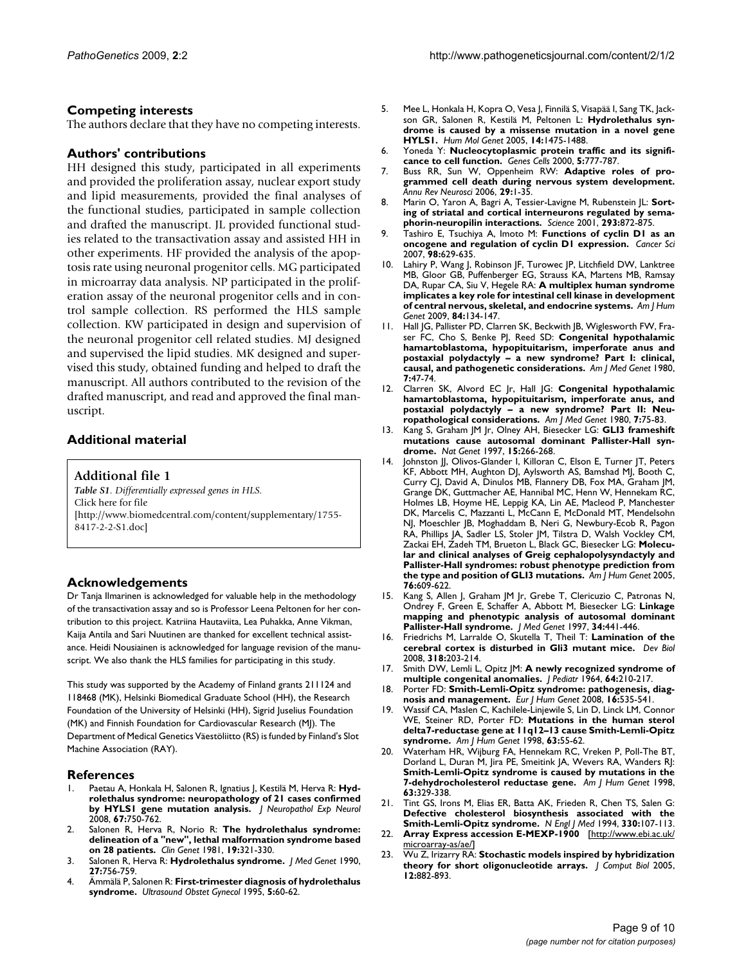#### **Competing interests**

The authors declare that they have no competing interests.

#### **Authors' contributions**

HH designed this study, participated in all experiments and provided the proliferation assay, nuclear export study and lipid measurements, provided the final analyses of the functional studies, participated in sample collection and drafted the manuscript. JL provided functional studies related to the transactivation assay and assisted HH in other experiments. HF provided the analysis of the apoptosis rate using neuronal progenitor cells. MG participated in microarray data analysis. NP participated in the proliferation assay of the neuronal progenitor cells and in control sample collection. RS performed the HLS sample collection. KW participated in design and supervision of the neuronal progenitor cell related studies. MJ designed and supervised the lipid studies. MK designed and supervised this study, obtained funding and helped to draft the manuscript. All authors contributed to the revision of the drafted manuscript, and read and approved the final manuscript.

# **Additional material**

#### <span id="page-8-5"></span>**Additional file 1**

*Table S1. Differentially expressed genes in HLS.* Click here for file [\[http://www.biomedcentral.com/content/supplementary/1755-](http://www.biomedcentral.com/content/supplementary/1755-8417-2-2-S1.doc) 8417-2-2-S1.doc]

### **Acknowledgements**

Dr Tanja Ilmarinen is acknowledged for valuable help in the methodology of the transactivation assay and so is Professor Leena Peltonen for her contribution to this project. Katriina Hautaviita, Lea Puhakka, Anne Vikman, Kaija Antila and Sari Nuutinen are thanked for excellent technical assistance. Heidi Nousiainen is acknowledged for language revision of the manuscript. We also thank the HLS families for participating in this study.

This study was supported by the Academy of Finland grants 211124 and 118468 (MK), Helsinki Biomedical Graduate School (HH), the Research Foundation of the University of Helsinki (HH), Sigrid Juselius Foundation (MK) and Finnish Foundation for Cardiovascular Research (MJ). The Department of Medical Genetics Väestöliitto (RS) is funded by Finland's Slot Machine Association (RAY).

#### **References**

- <span id="page-8-0"></span>1. Paetau A, Honkala H, Salonen R, Ignatius J, Kestilä M, Herva R: **[Hyd](http://www.ncbi.nlm.nih.gov/entrez/query.fcgi?cmd=Retrieve&db=PubMed&dopt=Abstract&list_uids=18648327)[rolethalus syndrome: neuropathology of 21 cases confirmed](http://www.ncbi.nlm.nih.gov/entrez/query.fcgi?cmd=Retrieve&db=PubMed&dopt=Abstract&list_uids=18648327) [by HYLS1 gene mutation analysis.](http://www.ncbi.nlm.nih.gov/entrez/query.fcgi?cmd=Retrieve&db=PubMed&dopt=Abstract&list_uids=18648327)** *J Neuropathol Exp Neurol* 2008, **67:**750-762.
- <span id="page-8-1"></span>Salonen R, Herva R, Norio R: [The hydrolethalus syndrome:](http://www.ncbi.nlm.nih.gov/entrez/query.fcgi?cmd=Retrieve&db=PubMed&dopt=Abstract&list_uids=7028327) **[delineation of a "new", lethal malformation syndrome based](http://www.ncbi.nlm.nih.gov/entrez/query.fcgi?cmd=Retrieve&db=PubMed&dopt=Abstract&list_uids=7028327) [on 28 patients.](http://www.ncbi.nlm.nih.gov/entrez/query.fcgi?cmd=Retrieve&db=PubMed&dopt=Abstract&list_uids=7028327)** *Clin Genet* 1981, **19:**321-330.
- <span id="page-8-2"></span>3. Salonen R, Herva R: **[Hydrolethalus syndrome.](http://www.ncbi.nlm.nih.gov/entrez/query.fcgi?cmd=Retrieve&db=PubMed&dopt=Abstract&list_uids=2074561)** *J Med Genet* 1990, **27:**756-759.
- <span id="page-8-3"></span>4. Ämmälä P, Salonen R: **[First-trimester diagnosis of hydrolethalus](http://www.ncbi.nlm.nih.gov/entrez/query.fcgi?cmd=Retrieve&db=PubMed&dopt=Abstract&list_uids=7850595) [syndrome.](http://www.ncbi.nlm.nih.gov/entrez/query.fcgi?cmd=Retrieve&db=PubMed&dopt=Abstract&list_uids=7850595)** *Ultrasound Obstet Gynecol* 1995, **5:**60-62.
- <span id="page-8-4"></span>5. Mee L, Honkala H, Kopra O, Vesa J, Finnilä S, Visapää I, Sang TK, Jackson GR, Salonen R, Kestilä M, Peltonen L: **[Hydrolethalus syn](http://www.ncbi.nlm.nih.gov/entrez/query.fcgi?cmd=Retrieve&db=PubMed&dopt=Abstract&list_uids=15843405)[drome is caused by a missense mutation in a novel gene](http://www.ncbi.nlm.nih.gov/entrez/query.fcgi?cmd=Retrieve&db=PubMed&dopt=Abstract&list_uids=15843405) [HYLS1.](http://www.ncbi.nlm.nih.gov/entrez/query.fcgi?cmd=Retrieve&db=PubMed&dopt=Abstract&list_uids=15843405)** *Hum Mol Genet* 2005, **14:**1475-1488.
- <span id="page-8-6"></span>6. Yoneda Y: **[Nucleocytoplasmic protein traffic and its signifi](http://www.ncbi.nlm.nih.gov/entrez/query.fcgi?cmd=Retrieve&db=PubMed&dopt=Abstract&list_uids=11029654)[cance to cell function.](http://www.ncbi.nlm.nih.gov/entrez/query.fcgi?cmd=Retrieve&db=PubMed&dopt=Abstract&list_uids=11029654)** *Genes Cells* 2000, **5:**777-787.
- <span id="page-8-7"></span>7. Buss RR, Sun W, Oppenheim RW: **[Adaptive roles of pro](http://www.ncbi.nlm.nih.gov/entrez/query.fcgi?cmd=Retrieve&db=PubMed&dopt=Abstract&list_uids=16776578)[grammed cell death during nervous system development.](http://www.ncbi.nlm.nih.gov/entrez/query.fcgi?cmd=Retrieve&db=PubMed&dopt=Abstract&list_uids=16776578)** *Annu Rev Neurosci* 2006, **29:**1-35.
- <span id="page-8-8"></span>8. Marin O, Yaron A, Bagri A, Tessier-Lavigne M, Rubenstein JL: **[Sort](http://www.ncbi.nlm.nih.gov/entrez/query.fcgi?cmd=Retrieve&db=PubMed&dopt=Abstract&list_uids=11486090)[ing of striatal and cortical interneurons regulated by sema](http://www.ncbi.nlm.nih.gov/entrez/query.fcgi?cmd=Retrieve&db=PubMed&dopt=Abstract&list_uids=11486090)[phorin-neuropilin interactions.](http://www.ncbi.nlm.nih.gov/entrez/query.fcgi?cmd=Retrieve&db=PubMed&dopt=Abstract&list_uids=11486090)** *Science* 2001, **293:**872-875.
- <span id="page-8-9"></span>9. Tashiro E, Tsuchiya A, Imoto M: **[Functions of cyclin D1 as an](http://www.ncbi.nlm.nih.gov/entrez/query.fcgi?cmd=Retrieve&db=PubMed&dopt=Abstract&list_uids=17359287) [oncogene and regulation of cyclin D1 expression.](http://www.ncbi.nlm.nih.gov/entrez/query.fcgi?cmd=Retrieve&db=PubMed&dopt=Abstract&list_uids=17359287)** *Cancer Sci* 2007, **98:**629-635.
- <span id="page-8-10"></span>10. Lahiry P, Wang J, Robinson JF, Turowec JP, Litchfield DW, Lanktree MB, Gloor GB, Puffenberger EG, Strauss KA, Martens MB, Ramsay DA, Rupar CA, Siu V, Hegele RA: **[A multiplex human syndrome](http://www.ncbi.nlm.nih.gov/entrez/query.fcgi?cmd=Retrieve&db=PubMed&dopt=Abstract&list_uids=19185282) [implicates a key role for intestinal cell kinase in development](http://www.ncbi.nlm.nih.gov/entrez/query.fcgi?cmd=Retrieve&db=PubMed&dopt=Abstract&list_uids=19185282) [of central nervous, skeletal, and endocrine systems.](http://www.ncbi.nlm.nih.gov/entrez/query.fcgi?cmd=Retrieve&db=PubMed&dopt=Abstract&list_uids=19185282)** *Am J Hum Genet* 2009, **84:**134-147.
- <span id="page-8-11"></span>11. Hall JG, Pallister PD, Clarren SK, Beckwith JB, Wiglesworth FW, Fraser FC, Cho S, Benke PJ, Reed SD: **[Congenital hypothalamic](http://www.ncbi.nlm.nih.gov/entrez/query.fcgi?cmd=Retrieve&db=PubMed&dopt=Abstract&list_uids=7211952) [hamartoblastoma, hypopituitarism, imperforate anus and](http://www.ncbi.nlm.nih.gov/entrez/query.fcgi?cmd=Retrieve&db=PubMed&dopt=Abstract&list_uids=7211952) postaxial polydactyly – a new syndrome? Part I: clinical, [causal, and pathogenetic considerations.](http://www.ncbi.nlm.nih.gov/entrez/query.fcgi?cmd=Retrieve&db=PubMed&dopt=Abstract&list_uids=7211952)** *Am J Med Genet* 1980, **7:**47-74.
- <span id="page-8-12"></span>12. Clarren SK, Alvord EC Jr, Hall JG: **[Congenital hypothalamic](http://www.ncbi.nlm.nih.gov/entrez/query.fcgi?cmd=Retrieve&db=PubMed&dopt=Abstract&list_uids=7211954) [hamartoblastoma, hypopituitarism, imperforate anus, and](http://www.ncbi.nlm.nih.gov/entrez/query.fcgi?cmd=Retrieve&db=PubMed&dopt=Abstract&list_uids=7211954) postaxial polydactyly – a new syndrome? Part II: Neu[ropathological considerations.](http://www.ncbi.nlm.nih.gov/entrez/query.fcgi?cmd=Retrieve&db=PubMed&dopt=Abstract&list_uids=7211954)** *Am J Med Genet* 1980, **7:**75-83.
- <span id="page-8-13"></span>13. Kang S, Graham JM Jr, Olney AH, Biesecker LG: **[GLI3 frameshift](http://www.ncbi.nlm.nih.gov/entrez/query.fcgi?cmd=Retrieve&db=PubMed&dopt=Abstract&list_uids=9054938) [mutations cause autosomal dominant Pallister-Hall syn](http://www.ncbi.nlm.nih.gov/entrez/query.fcgi?cmd=Retrieve&db=PubMed&dopt=Abstract&list_uids=9054938)[drome.](http://www.ncbi.nlm.nih.gov/entrez/query.fcgi?cmd=Retrieve&db=PubMed&dopt=Abstract&list_uids=9054938)** *Nat Genet* 1997, **15:**266-268.
- 14. Johnston JJ, Olivos-Glander I, Killoran C, Elson E, Turner JT, Peters KF, Abbott MH, Aughton DJ, Aylsworth AS, Bamshad MJ, Booth C, Curry CJ, David A, Dinulos MB, Flannery DB, Fox MA, Graham JM, Grange DK, Guttmacher AE, Hannibal MC, Henn W, Hennekam RC, Holmes LB, Hoyme HE, Leppig KA, Lin AE, Macleod P, Manchester DK, Marcelis C, Mazzanti L, McCann E, McDonald MT, Mendelsohn NJ, Moeschler JB, Moghaddam B, Neri G, Newbury-Ecob R, Pagon RA, Phillips JA, Sadler LS, Stoler JM, Tilstra D, Walsh Vockley CM, Zackai EH, Zadeh TM, Brueton L, Black GC, Biesecker LG: **[Molecu](http://www.ncbi.nlm.nih.gov/entrez/query.fcgi?cmd=Retrieve&db=PubMed&dopt=Abstract&list_uids=15739154)[lar and clinical analyses of Greig cephalopolysyndactyly and](http://www.ncbi.nlm.nih.gov/entrez/query.fcgi?cmd=Retrieve&db=PubMed&dopt=Abstract&list_uids=15739154) Pallister-Hall syndromes: robust phenotype prediction from [the type and position of GLI3 mutations.](http://www.ncbi.nlm.nih.gov/entrez/query.fcgi?cmd=Retrieve&db=PubMed&dopt=Abstract&list_uids=15739154)** *Am J Hum Genet* 2005, **76:**609-622.
- <span id="page-8-14"></span>15. Kang S, Allen J, Graham JM Jr, Grebe T, Clericuzio C, Patronas N, Ondrey F, Green E, Schaffer A, Abbott M, Biesecker LG: **[Linkage](http://www.ncbi.nlm.nih.gov/entrez/query.fcgi?cmd=Retrieve&db=PubMed&dopt=Abstract&list_uids=9192261) [mapping and phenotypic analysis of autosomal dominant](http://www.ncbi.nlm.nih.gov/entrez/query.fcgi?cmd=Retrieve&db=PubMed&dopt=Abstract&list_uids=9192261) [Pallister-Hall syndrome.](http://www.ncbi.nlm.nih.gov/entrez/query.fcgi?cmd=Retrieve&db=PubMed&dopt=Abstract&list_uids=9192261)** *J Med Genet* 1997, **34:**441-446.
- <span id="page-8-15"></span>16. Friedrichs M, Larralde O, Skutella T, Theil T: **[Lamination of the](http://www.ncbi.nlm.nih.gov/entrez/query.fcgi?cmd=Retrieve&db=PubMed&dopt=Abstract&list_uids=18448089) [cerebral cortex is disturbed in Gli3 mutant mice.](http://www.ncbi.nlm.nih.gov/entrez/query.fcgi?cmd=Retrieve&db=PubMed&dopt=Abstract&list_uids=18448089)** *Dev Biol* 2008, **318:**203-214.
- <span id="page-8-16"></span>17. Smith DW, Lemli L, Opitz JM: **[A newly recognized syndrome of](http://www.ncbi.nlm.nih.gov/entrez/query.fcgi?cmd=Retrieve&db=PubMed&dopt=Abstract&list_uids=14119520) [multiple congenital anomalies.](http://www.ncbi.nlm.nih.gov/entrez/query.fcgi?cmd=Retrieve&db=PubMed&dopt=Abstract&list_uids=14119520)** *J Pediatr* 1964, **64:**210-217.
- <span id="page-8-17"></span>18. Porter FD: **[Smith-Lemli-Opitz syndrome: pathogenesis, diag](http://www.ncbi.nlm.nih.gov/entrez/query.fcgi?cmd=Retrieve&db=PubMed&dopt=Abstract&list_uids=18285838)[nosis and management.](http://www.ncbi.nlm.nih.gov/entrez/query.fcgi?cmd=Retrieve&db=PubMed&dopt=Abstract&list_uids=18285838)** *Eur J Hum Genet* 2008, **16:**535-541.
- <span id="page-8-18"></span>19. Wassif CA, Maslen C, Kachilele-Linjewile S, Lin D, Linck LM, Connor WE, Steiner RD, Porter FD: **[Mutations in the human sterol](http://www.ncbi.nlm.nih.gov/entrez/query.fcgi?cmd=Retrieve&db=PubMed&dopt=Abstract&list_uids=9634533) [delta7-reductase gene at 11q12–13 cause Smith-Lemli-Opitz](http://www.ncbi.nlm.nih.gov/entrez/query.fcgi?cmd=Retrieve&db=PubMed&dopt=Abstract&list_uids=9634533) [syndrome.](http://www.ncbi.nlm.nih.gov/entrez/query.fcgi?cmd=Retrieve&db=PubMed&dopt=Abstract&list_uids=9634533)** *Am J Hum Genet* 1998, **63:**55-62.
- <span id="page-8-19"></span>20. Waterham HR, Wijburg FA, Hennekam RC, Vreken P, Poll-The BT, Dorland L, Duran M, Jira PE, Smeitink JA, Wevers RA, Wanders RJ: **[Smith-Lemli-Opitz syndrome is caused by mutations in the](http://www.ncbi.nlm.nih.gov/entrez/query.fcgi?cmd=Retrieve&db=PubMed&dopt=Abstract&list_uids=9683613) [7-dehydrocholesterol reductase gene.](http://www.ncbi.nlm.nih.gov/entrez/query.fcgi?cmd=Retrieve&db=PubMed&dopt=Abstract&list_uids=9683613)** *Am J Hum Genet* 1998, **63:**329-338.
- <span id="page-8-20"></span>21. Tint GS, Irons M, Elias ER, Batta AK, Frieden R, Chen TS, Salen G: **[Defective cholesterol biosynthesis associated with the](http://www.ncbi.nlm.nih.gov/entrez/query.fcgi?cmd=Retrieve&db=PubMed&dopt=Abstract&list_uids=8259166) [Smith-Lemli-Opitz syndrome.](http://www.ncbi.nlm.nih.gov/entrez/query.fcgi?cmd=Retrieve&db=PubMed&dopt=Abstract&list_uids=8259166)** *N Engl J Med* 1994, **330:**107-113.
- <span id="page-8-21"></span>22. **Array Express accession E-MEXP-1900** [\[http://www.ebi.ac.uk/](http://www.ebi.ac.uk/microarray-as/ae/) [microarray-as/ae/\]](http://www.ebi.ac.uk/microarray-as/ae/)
- <span id="page-8-22"></span>23. Wu Z, Irizarry RA: **[Stochastic models inspired by hybridization](http://www.ncbi.nlm.nih.gov/entrez/query.fcgi?cmd=Retrieve&db=PubMed&dopt=Abstract&list_uids=16108723) [theory for short oligonucleotide arrays.](http://www.ncbi.nlm.nih.gov/entrez/query.fcgi?cmd=Retrieve&db=PubMed&dopt=Abstract&list_uids=16108723)** *J Comput Biol* 2005, **12:**882-893.